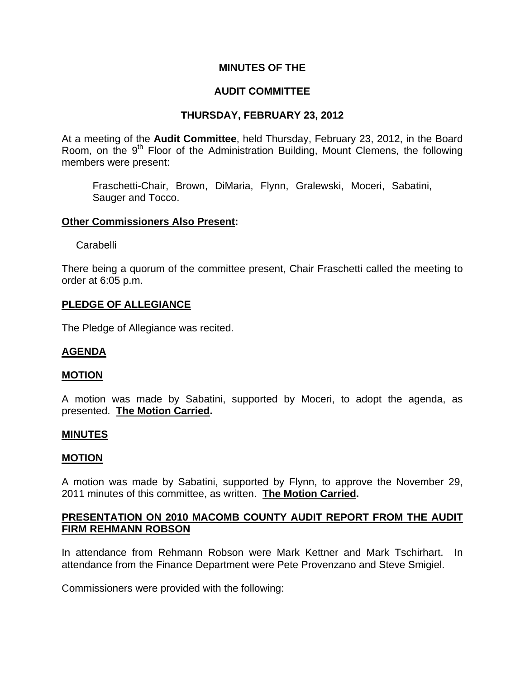# **MINUTES OF THE**

# **AUDIT COMMITTEE**

## **THURSDAY, FEBRUARY 23, 2012**

At a meeting of the **Audit Committee**, held Thursday, February 23, 2012, in the Board Room, on the 9<sup>th</sup> Floor of the Administration Building, Mount Clemens, the following members were present:

Fraschetti-Chair, Brown, DiMaria, Flynn, Gralewski, Moceri, Sabatini, Sauger and Tocco.

### **Other Commissioners Also Present:**

Carabelli

There being a quorum of the committee present, Chair Fraschetti called the meeting to order at 6:05 p.m.

#### **PLEDGE OF ALLEGIANCE**

The Pledge of Allegiance was recited.

### **AGENDA**

#### **MOTION**

A motion was made by Sabatini, supported by Moceri, to adopt the agenda, as presented. **The Motion Carried.** 

#### **MINUTES**

#### **MOTION**

A motion was made by Sabatini, supported by Flynn, to approve the November 29, 2011 minutes of this committee, as written. **The Motion Carried.** 

## **PRESENTATION ON 2010 MACOMB COUNTY AUDIT REPORT FROM THE AUDIT FIRM REHMANN ROBSON**

In attendance from Rehmann Robson were Mark Kettner and Mark Tschirhart. In attendance from the Finance Department were Pete Provenzano and Steve Smigiel.

Commissioners were provided with the following: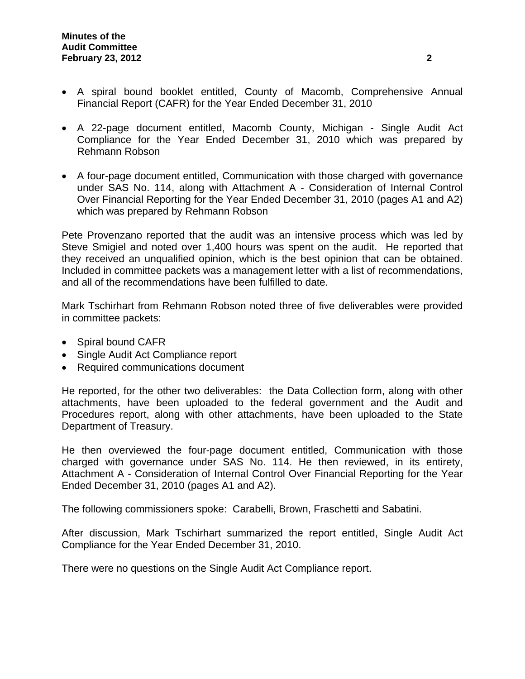- A spiral bound booklet entitled, County of Macomb, Comprehensive Annual Financial Report (CAFR) for the Year Ended December 31, 2010
- A 22-page document entitled, Macomb County, Michigan Single Audit Act Compliance for the Year Ended December 31, 2010 which was prepared by Rehmann Robson
- A four-page document entitled, Communication with those charged with governance under SAS No. 114, along with Attachment A - Consideration of Internal Control Over Financial Reporting for the Year Ended December 31, 2010 (pages A1 and A2) which was prepared by Rehmann Robson

Pete Provenzano reported that the audit was an intensive process which was led by Steve Smigiel and noted over 1,400 hours was spent on the audit. He reported that they received an unqualified opinion, which is the best opinion that can be obtained. Included in committee packets was a management letter with a list of recommendations, and all of the recommendations have been fulfilled to date.

Mark Tschirhart from Rehmann Robson noted three of five deliverables were provided in committee packets:

- Spiral bound CAFR
- Single Audit Act Compliance report
- Required communications document

He reported, for the other two deliverables: the Data Collection form, along with other attachments, have been uploaded to the federal government and the Audit and Procedures report, along with other attachments, have been uploaded to the State Department of Treasury.

He then overviewed the four-page document entitled, Communication with those charged with governance under SAS No. 114. He then reviewed, in its entirety, Attachment A - Consideration of Internal Control Over Financial Reporting for the Year Ended December 31, 2010 (pages A1 and A2).

The following commissioners spoke: Carabelli, Brown, Fraschetti and Sabatini.

After discussion, Mark Tschirhart summarized the report entitled, Single Audit Act Compliance for the Year Ended December 31, 2010.

There were no questions on the Single Audit Act Compliance report.